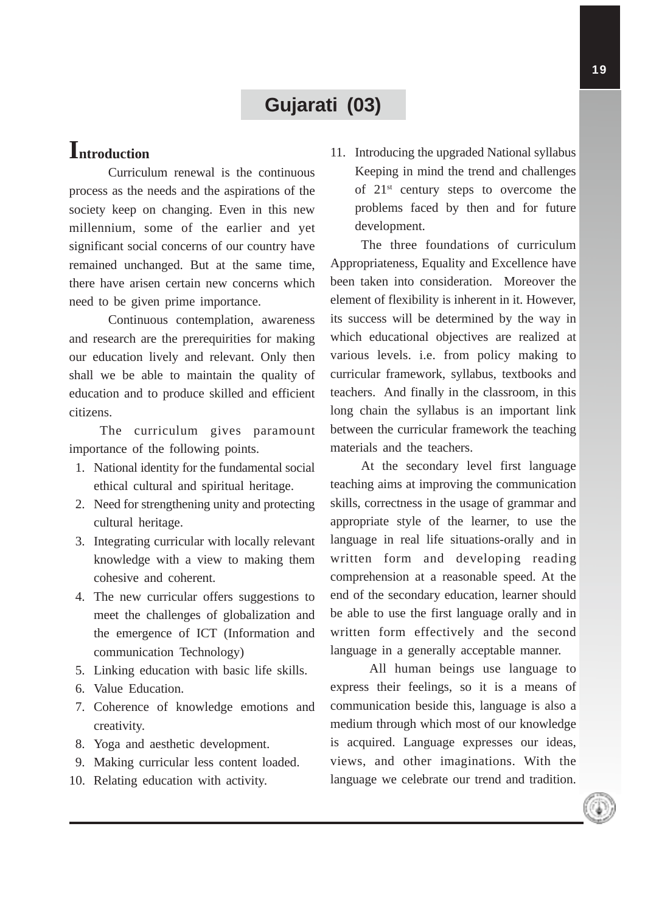# **Gujarati (03)**

# **Introduction**

Curriculum renewal is the continuous process as the needs and the aspirations of the society keep on changing. Even in this new millennium, some of the earlier and yet significant social concerns of our country have remained unchanged. But at the same time, there have arisen certain new concerns which need to be given prime importance.

Continuous contemplation, awareness and research are the prerequirities for making our education lively and relevant. Only then shall we be able to maintain the quality of education and to produce skilled and efficient citizens.

The curriculum gives paramount importance of the following points.

- 1. National identity for the fundamental social ethical cultural and spiritual heritage.
- 2. Need for strengthening unity and protecting cultural heritage.
- 3. Integrating curricular with locally relevant knowledge with a view to making them cohesive and coherent.
- 4. The new curricular offers suggestions to meet the challenges of globalization and the emergence of ICT (Information and communication Technology)
- 5. Linking education with basic life skills.
- 6. Value Education.
- 7. Coherence of knowledge emotions and creativity.
- 8. Yoga and aesthetic development.
- 9. Making curricular less content loaded.
- 10. Relating education with activity.

11. Introducing the upgraded National syllabus Keeping in mind the trend and challenges of  $21<sup>st</sup>$  century steps to overcome the problems faced by then and for future development.

The three foundations of curriculum Appropriateness, Equality and Excellence have been taken into consideration. Moreover the element of flexibility is inherent in it. However, its success will be determined by the way in which educational objectives are realized at various levels. i.e. from policy making to curricular framework, syllabus, textbooks and teachers. And finally in the classroom, in this long chain the syllabus is an important link between the curricular framework the teaching materials and the teachers.

At the secondary level first language teaching aims at improving the communication skills, correctness in the usage of grammar and appropriate style of the learner, to use the language in real life situations-orally and in written form and developing reading comprehension at a reasonable speed. At the end of the secondary education, learner should be able to use the first language orally and in written form effectively and the second language in a generally acceptable manner.

All human beings use language to express their feelings, so it is a means of communication beside this, language is also a medium through which most of our knowledge is acquired. Language expresses our ideas, views, and other imaginations. With the language we celebrate our trend and tradition.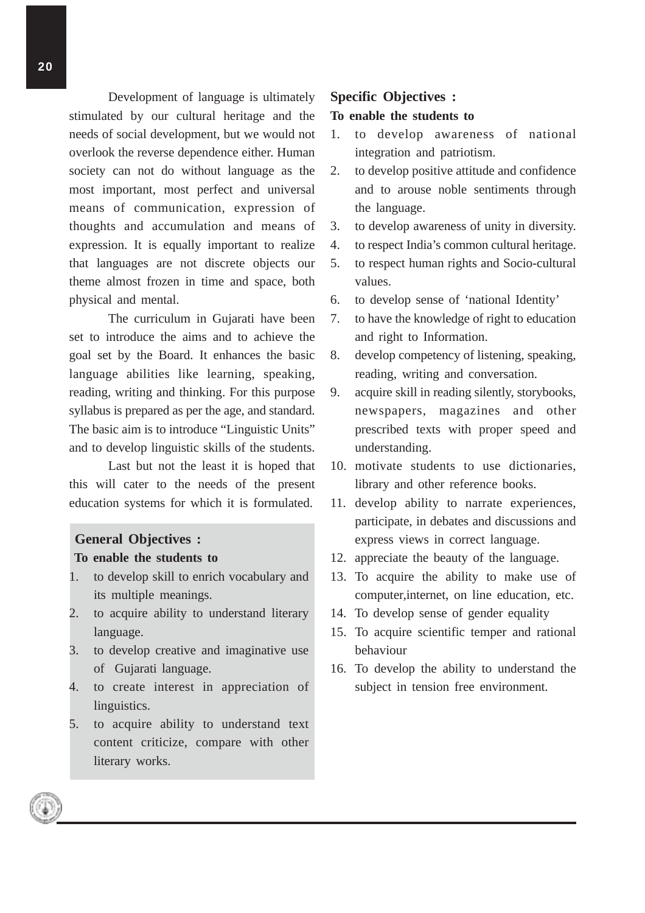Development of language is ultimately stimulated by our cultural heritage and the needs of social development, but we would not overlook the reverse dependence either. Human society can not do without language as the most important, most perfect and universal means of communication, expression of thoughts and accumulation and means of expression. It is equally important to realize that languages are not discrete objects our theme almost frozen in time and space, both physical and mental.

The curriculum in Gujarati have been set to introduce the aims and to achieve the goal set by the Board. It enhances the basic language abilities like learning, speaking, reading, writing and thinking. For this purpose syllabus is prepared as per the age, and standard. The basic aim is to introduce "Linguistic Units" and to develop linguistic skills of the students.

Last but not the least it is hoped that this will cater to the needs of the present education systems for which it is formulated.

# **General Objectives : To enable the students to**

- 1. to develop skill to enrich vocabulary and its multiple meanings.
- 2. to acquire ability to understand literary language.
- 3. to develop creative and imaginative use of Gujarati language.
- 4. to create interest in appreciation of linguistics.
- 5. to acquire ability to understand text content criticize, compare with other literary works.

#### **Specific Objectives :**

#### **To enable the students to**

- 1. to develop awareness of national integration and patriotism.
- 2. to develop positive attitude and confidence and to arouse noble sentiments through the language.
- 3. to develop awareness of unity in diversity.
- 4. to respect India's common cultural heritage.
- 5. to respect human rights and Socio-cultural values.
- 6. to develop sense of 'national Identity'
- 7. to have the knowledge of right to education and right to Information.
- 8. develop competency of listening, speaking, reading, writing and conversation.
- 9. acquire skill in reading silently, storybooks, newspapers, magazines and other prescribed texts with proper speed and understanding.
- 10. motivate students to use dictionaries, library and other reference books.
- 11. develop ability to narrate experiences, participate, in debates and discussions and express views in correct language.
- 12. appreciate the beauty of the language.
- 13. To acquire the ability to make use of computer,internet, on line education, etc.
- 14. To develop sense of gender equality
- 15. To acquire scientific temper and rational behaviour
- 16. To develop the ability to understand the subject in tension free environment.